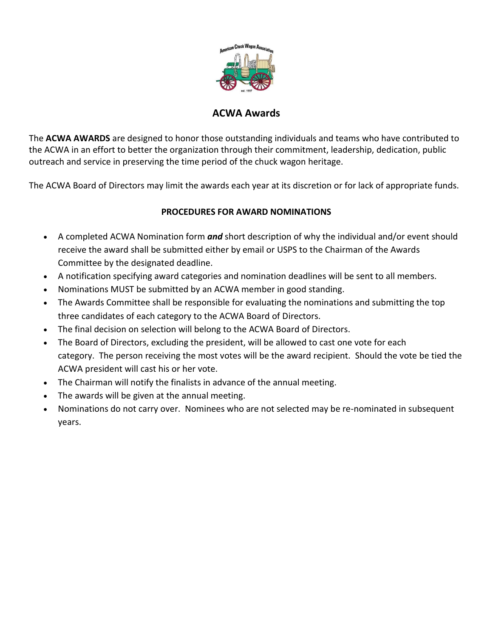

## **ACWA Awards**

The **ACWA AWARDS** are designed to honor those outstanding individuals and teams who have contributed to the ACWA in an effort to better the organization through their commitment, leadership, dedication, public outreach and service in preserving the time period of the chuck wagon heritage.

The ACWA Board of Directors may limit the awards each year at its discretion or for lack of appropriate funds.

## **PROCEDURES FOR AWARD NOMINATIONS**

- A completed ACWA Nomination form *and* short description of why the individual and/or event should receive the award shall be submitted either by email or USPS to the Chairman of the Awards Committee by the designated deadline.
- A notification specifying award categories and nomination deadlines will be sent to all members.
- Nominations MUST be submitted by an ACWA member in good standing.
- The Awards Committee shall be responsible for evaluating the nominations and submitting the top three candidates of each category to the ACWA Board of Directors.
- The final decision on selection will belong to the ACWA Board of Directors.
- The Board of Directors, excluding the president, will be allowed to cast one vote for each category. The person receiving the most votes will be the award recipient. Should the vote be tied the ACWA president will cast his or her vote.
- The Chairman will notify the finalists in advance of the annual meeting.
- The awards will be given at the annual meeting.
- Nominations do not carry over. Nominees who are not selected may be re-nominated in subsequent years.